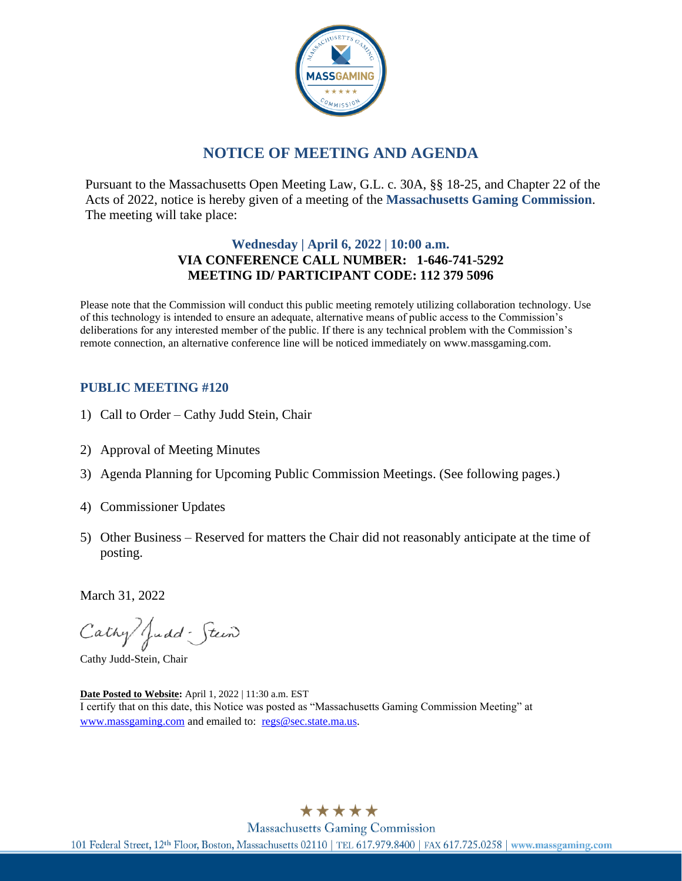

# **NOTICE OF MEETING AND AGENDA**

Pursuant to the Massachusetts Open Meeting Law, G.L. c. 30A, §§ 18-25, and Chapter 22 of the Acts of 2022, notice is hereby given of a meeting of the **Massachusetts Gaming Commission**. The meeting will take place:

#### **Wednesday | April 6, 2022** | **10:00 a.m. VIA CONFERENCE CALL NUMBER: 1-646-741-5292 MEETING ID/ PARTICIPANT CODE: 112 379 5096**

Please note that the Commission will conduct this public meeting remotely utilizing collaboration technology. Use of this technology is intended to ensure an adequate, alternative means of public access to the Commission's deliberations for any interested member of the public. If there is any technical problem with the Commission's remote connection, an alternative conference line will be noticed immediately on www.massgaming.com.

#### **PUBLIC MEETING #120**

- 1) Call to Order Cathy Judd Stein, Chair
- 2) Approval of Meeting Minutes
- 3) Agenda Planning for Upcoming Public Commission Meetings. (See following pages.)
- 4) Commissioner Updates
- 5) Other Business Reserved for matters the Chair did not reasonably anticipate at the time of posting.

March 31, 2022

Cathy Judd - Stein

Cathy Judd-Stein, Chair

**Date Posted to Website:** April 1, 2022 | 11:30 a.m. EST I certify that on this date, this Notice was posted as "Massachusetts Gaming Commission Meeting" at [www.massgaming.com](http://www.massgaming.com/) and emailed to: [regs@sec.state.ma.us.](mailto:regs@sec.state.ma.us)

\*\*\*\*\*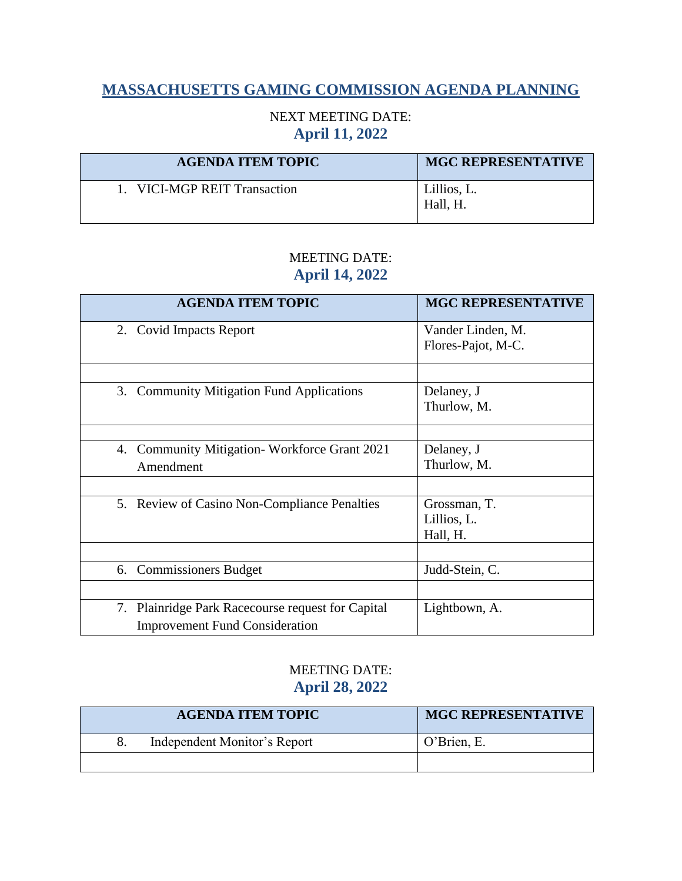# **MASSACHUSETTS GAMING COMMISSION AGENDA PLANNING**

## NEXT MEETING DATE: **April 11, 2022**

| <b>AGENDA ITEM TOPIC</b>     | <b>MGC REPRESENTATIVE</b> |
|------------------------------|---------------------------|
| 1. VICI-MGP REIT Transaction | Lillios, L.<br>Hall, H.   |

## MEETING DATE: **April 14, 2022**

| <b>AGENDA ITEM TOPIC</b>                          | <b>MGC REPRESENTATIVE</b> |
|---------------------------------------------------|---------------------------|
| 2. Covid Impacts Report                           | Vander Linden, M.         |
|                                                   | Flores-Pajot, M-C.        |
|                                                   |                           |
| 3. Community Mitigation Fund Applications         | Delaney, J                |
|                                                   | Thurlow, M.               |
|                                                   |                           |
| 4. Community Mitigation-Workforce Grant 2021      | Delaney, J                |
| Amendment                                         | Thurlow, M.               |
|                                                   |                           |
| 5. Review of Casino Non-Compliance Penalties      | Grossman, T.              |
|                                                   | Lillios, L.               |
|                                                   | Hall, H.                  |
|                                                   |                           |
| 6. Commissioners Budget                           | Judd-Stein, C.            |
|                                                   |                           |
| 7. Plainridge Park Racecourse request for Capital | Lightbown, A.             |
| <b>Improvement Fund Consideration</b>             |                           |

## MEETING DATE: **April 28, 2022**

| <b>AGENDA ITEM TOPIC</b>     | <b>MGC REPRESENTATIVE</b> |
|------------------------------|---------------------------|
| Independent Monitor's Report | O'Brien, E.               |
|                              |                           |